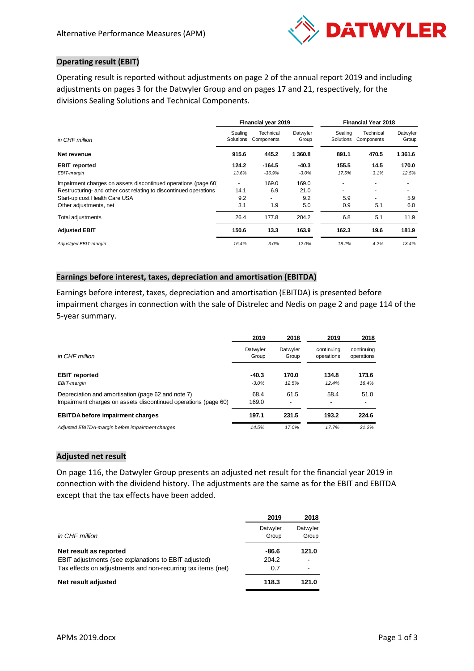

# **Operating result (EBIT)**

Operating result is reported without adjustments on page 2 of the annual report 2019 and including adjustments on pages 3 for the Datwyler Group and on pages 17 and 21, respectively, for the divisions Sealing Solutions and Technical Components.

|                                                                   | Financial year 2019  |                         |                   | <b>Financial Year 2018</b> |                         |                   |  |
|-------------------------------------------------------------------|----------------------|-------------------------|-------------------|----------------------------|-------------------------|-------------------|--|
| in CHF million                                                    | Sealing<br>Solutions | Technical<br>Components | Datwyler<br>Group | Sealing<br>Solutions       | Technical<br>Components | Datwyler<br>Group |  |
| Net revenue                                                       | 915.6                | 445.2                   | 1 360.8           | 891.1                      | 470.5                   | 1 3 6 1 .6        |  |
| <b>EBIT</b> reported                                              | 124.2                | $-164.5$                | $-40.3$           | 155.5                      | 14.5                    | 170.0             |  |
| EBIT-margin                                                       | 13.6%                | $-36.9%$                | $-3.0%$           | 17.5%                      | 3.1%                    | 12.5%             |  |
| Impairment charges on assets discontinued operations (page 60)    |                      | 169.0                   | 169.0             |                            |                         |                   |  |
| Restructuring- and other cost relating to discontinued operations | 14.1                 | 6.9                     | 21.0              | $\overline{\phantom{0}}$   | ۰                       |                   |  |
| Start-up cost Health Care USA                                     | 9.2                  | -                       | 9.2               | 5.9                        | ۰                       | 5.9               |  |
| Other adjustments, net                                            | 3.1                  | 1.9                     | 5.0               | 0.9                        | 5.1                     | 6.0               |  |
| Total adjustments                                                 | 26.4                 | 177.8                   | 204.2             | 6.8                        | 5.1                     | 11.9              |  |
| <b>Adjusted EBIT</b>                                              | 150.6                | 13.3                    | 163.9             | 162.3                      | 19.6                    | 181.9             |  |
| Adjustged EBIT-margin                                             | 16.4%                | 3.0%                    | 12.0%             | 18.2%                      | 4.2%                    | 13.4%             |  |

# **Earnings before interest, taxes, depreciation and amortisation (EBITDA)**

Earnings before interest, taxes, depreciation and amortisation (EBITDA) is presented before impairment charges in connection with the sale of Distrelec and Nedis on page 2 and page 114 of the 5-year summary.

|                                                                                                                      | 2019               | 2018                             | 2019                     | 2018                     |
|----------------------------------------------------------------------------------------------------------------------|--------------------|----------------------------------|--------------------------|--------------------------|
| in CHF million                                                                                                       | Datwyler<br>Group  | Datwyler<br>Group                | continuina<br>operations | continuing<br>operations |
| <b>EBIT</b> reported<br>EBIT-margin                                                                                  | $-40.3$<br>$-3.0%$ | 170.0<br>12.5%                   | 134.8<br>12.4%           | 173.6<br>16.4%           |
|                                                                                                                      |                    |                                  |                          |                          |
| Depreciation and amortisation (page 62 and note 7)<br>Impairment charges on assets discontinued operations (page 60) | 68.4<br>169.0      | 61.5<br>$\overline{\phantom{a}}$ | 58.4<br>٠                | 51.0<br>۰                |
| <b>EBITDA</b> before impairment charges                                                                              | 197.1              | 231.5                            | 193.2                    | 224.6                    |
| Adjusted EBITDA-margin before impairment charges                                                                     | 14.5%              | 17.0%                            | 17.7%                    | 21.2%                    |

## **Adjusted net result**

On page 116, the Datwyler Group presents an adjusted net result for the financial year 2019 in connection with the dividend history. The adjustments are the same as for the EBIT and EBITDA except that the tax effects have been added.

|                                                              | 2019              | 2018              |
|--------------------------------------------------------------|-------------------|-------------------|
| in CHF million                                               | Datwyler<br>Group | Datwyler<br>Group |
| Net result as reported                                       | -86.6             | 121.0             |
| <b>EBIT</b> adjustments (see explanations to EBIT adjusted)  | 204.2             | ۰                 |
| Tax effects on adjustments and non-recurring tax items (net) | 0.7               |                   |
| Net result adjusted                                          | 118.3             | 121.0             |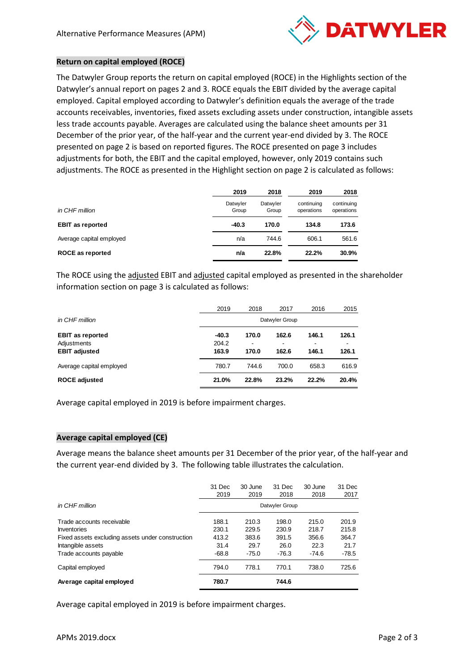

## **Return on capital employed (ROCE)**

The Datwyler Group reports the return on capital employed (ROCE) in the Highlights section of the Datwyler's annual report on pages 2 and 3. ROCE equals the EBIT divided by the average capital employed. Capital employed according to Datwyler's definition equals the average of the trade accounts receivables, inventories, fixed assets excluding assets under construction, intangible assets less trade accounts payable. Averages are calculated using the balance sheet amounts per 31 December of the prior year, of the half-year and the current year-end divided by 3. The ROCE presented on page 2 is based on reported figures. The ROCE presented on page 3 includes adjustments for both, the EBIT and the capital employed, however, only 2019 contains such adjustments. The ROCE as presented in the Highlight section on page 2 is calculated as follows:

|                          | 2019              | 2018              | 2019                     | 2018                     |
|--------------------------|-------------------|-------------------|--------------------------|--------------------------|
| in CHF million           | Datwyler<br>Group | Datwyler<br>Group | continuing<br>operations | continuing<br>operations |
| <b>EBIT as reported</b>  | $-40.3$           | 170.0             | 134.8                    | 173.6                    |
| Average capital employed | n/a               | 744.6             | 606.1                    | 561.6                    |
| <b>ROCE as reported</b>  | n/a               | 22.8%             | 22.2%                    | 30.9%                    |

The ROCE using the adjusted EBIT and adjusted capital employed as presented in the shareholder information section on page 3 is calculated as follows:

|                          | 2019           | 2018  | 2017  | 2016  | 2015  |  |
|--------------------------|----------------|-------|-------|-------|-------|--|
| in CHF million           | Datwyler Group |       |       |       |       |  |
| <b>EBIT as reported</b>  | $-40.3$        | 170.0 | 162.6 | 146.1 | 126.1 |  |
| Adjustments              | 204.2          | ٠     | -     | ۰     |       |  |
| <b>EBIT adjusted</b>     | 163.9          | 170.0 | 162.6 | 146.1 | 126.1 |  |
| Average capital employed | 780.7          | 744.6 | 700.0 | 658.3 | 616.9 |  |
| <b>ROCE adjusted</b>     | 21.0%          | 22.8% | 23.2% | 22.2% | 20.4% |  |

Average capital employed in 2019 is before impairment charges.

## **Average capital employed (CE)**

Average means the balance sheet amounts per 31 December of the prior year, of the half-year and the current year-end divided by 3. The following table illustrates the calculation.

|                                                  | 31 Dec<br>2019 | 30 June<br>2019 | 31 Dec<br>2018 | 30 June<br>2018 | 31 Dec<br>2017 |
|--------------------------------------------------|----------------|-----------------|----------------|-----------------|----------------|
| in CHF million                                   |                |                 | Datwyler Group |                 |                |
| Trade accounts receivable                        | 188.1          | 210.3           | 198.0          | 215.0           | 201.9          |
| Inventories                                      | 230.1          | 229.5           | 230.9          | 218.7           | 215.8          |
| Fixed assets excluding assets under construction | 413.2          | 383.6           | 391.5          | 356.6           | 364.7          |
| Intangible assets                                | 31.4           | 29.7            | 26.0           | 22.3            | 21.7           |
| Trade accounts payable                           | $-68.8$        | $-75.0$         | $-76.3$        | $-74.6$         | $-78.5$        |
| Capital employed                                 | 794.0          | 778.1           | 770.1          | 738.0           | 725.6          |
| Average capital employed                         | 780.7          |                 | 744.6          |                 |                |

Average capital employed in 2019 is before impairment charges.